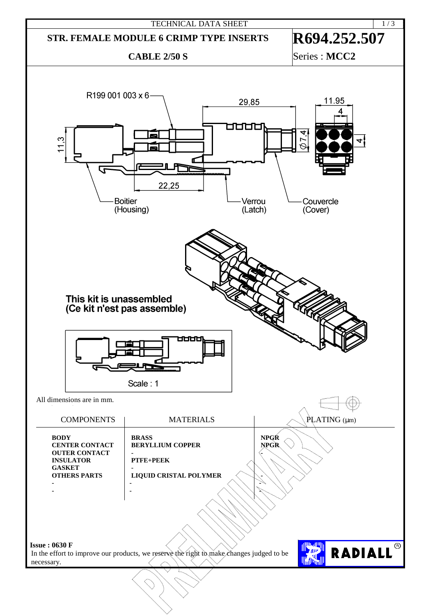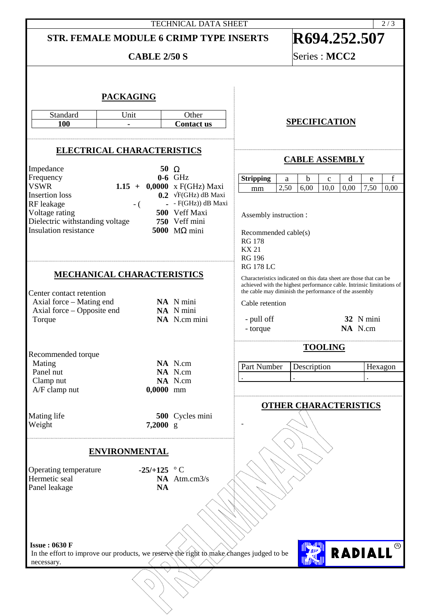## TECHNICAL DATA SHEET STR. FEMALE MODULE 6 CRIMP TYPE INSERTS **R694.252.507 CABLE 2/50 S** Series : **MCC2 PACKAGING** Standard Unit Other<br>100 - Contact **SPECIFICATION 100 - Contact us ELECTRICAL CHARACTERISTICS CABLE ASSEMBLY** Impedance 50 Ω<br>Frequency 6-6 GHz Frequency<br>VSWR **Stripping** a b c d e f 1.15  $+$  0,0000 x F(GHz) Maxi mm 2,50 6,00 10,0 0,00 7,50 0,00 Insertion loss **0.2** √F(GHz) dB Maxi<br>RF leakage - ( - F(GHz) dB Maxi RF leakage  $-$  ( $-$  - F(GHz)) dB Maxi<br>Voltage rating 500 Veff Maxi 500 Veff Maxi<br>750 Veff mini Assembly instruction : Dielectric withstanding voltage **750** Veff mini **Insulation resistance** Recommended cable(s) RG 178 KX 21 RG 196 RG 178 LC **MECHANICAL CHARACTERISTICS** Characteristics indicated on this data sheet are those that can be achieved with the highest performance cable. Intrinsic limitations of the cable may diminish the performance of the assembly Center contact retention Axial force – Mating end<br>Axial force – Opposite end<br>NA N mini Cable retention Axial force – Opposite end<br>Torque NA N.cm mini - pull off **32** N mini - torque **NA** N.cm **TOOLING** Recommended torque Mating **NA** N.cm<br>Panel nut **NA** N.cm Part Number Description Hexagon **NA** N.cm<br>**NA** N.cm . . . Clamp nut **NA** N.cm<br>A/F clamp nut **0.0000** mm A/F clamp nut **OTHER CHARACTERISTICS** Mating life **500** Cycles mini<br>Weight **7,2000** g 7,2000 g -**ENVIRONMENTAL** Operating temperature **-25/+125** ° C<br>Hermetic seal **NA** Atm NA Atm.cm3/s<br>NA Panel leakage RADIALL® **Issue : 0630 F** In the effort to improve our products, we reserve the right to make changes judged to be necessary.